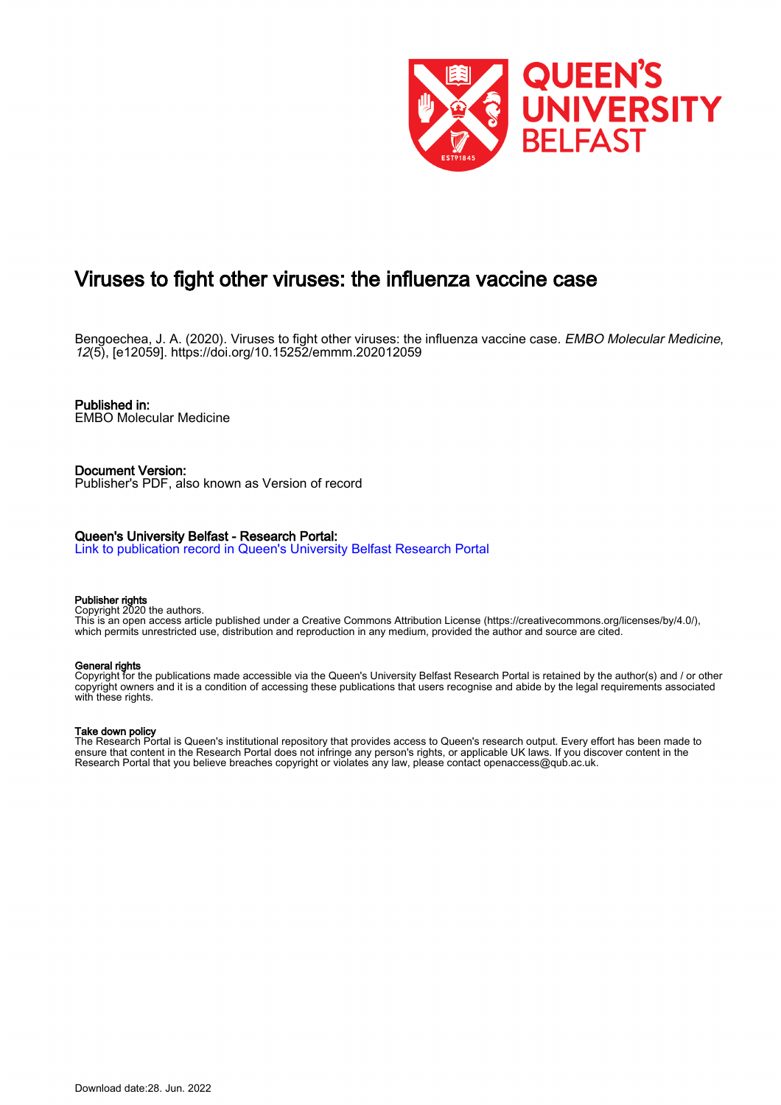

## Viruses to fight other viruses: the influenza vaccine case

Bengoechea, J. A. (2020). Viruses to fight other viruses: the influenza vaccine case. EMBO Molecular Medicine, 12(5), [e12059].<https://doi.org/10.15252/emmm.202012059>

Published in: EMBO Molecular Medicine

Document Version: Publisher's PDF, also known as Version of record

#### Queen's University Belfast - Research Portal:

[Link to publication record in Queen's University Belfast Research Portal](https://pure.qub.ac.uk/en/publications/72ef6170-f4ec-49fa-b87d-2104b9d38b34)

#### Publisher rights

Copyright 2020 the authors.

This is an open access article published under a Creative Commons Attribution License (https://creativecommons.org/licenses/by/4.0/), which permits unrestricted use, distribution and reproduction in any medium, provided the author and source are cited.

#### General rights

Copyright for the publications made accessible via the Queen's University Belfast Research Portal is retained by the author(s) and / or other copyright owners and it is a condition of accessing these publications that users recognise and abide by the legal requirements associated with these rights.

#### Take down policy

The Research Portal is Queen's institutional repository that provides access to Queen's research output. Every effort has been made to ensure that content in the Research Portal does not infringe any person's rights, or applicable UK laws. If you discover content in the Research Portal that you believe breaches copyright or violates any law, please contact openaccess@qub.ac.uk.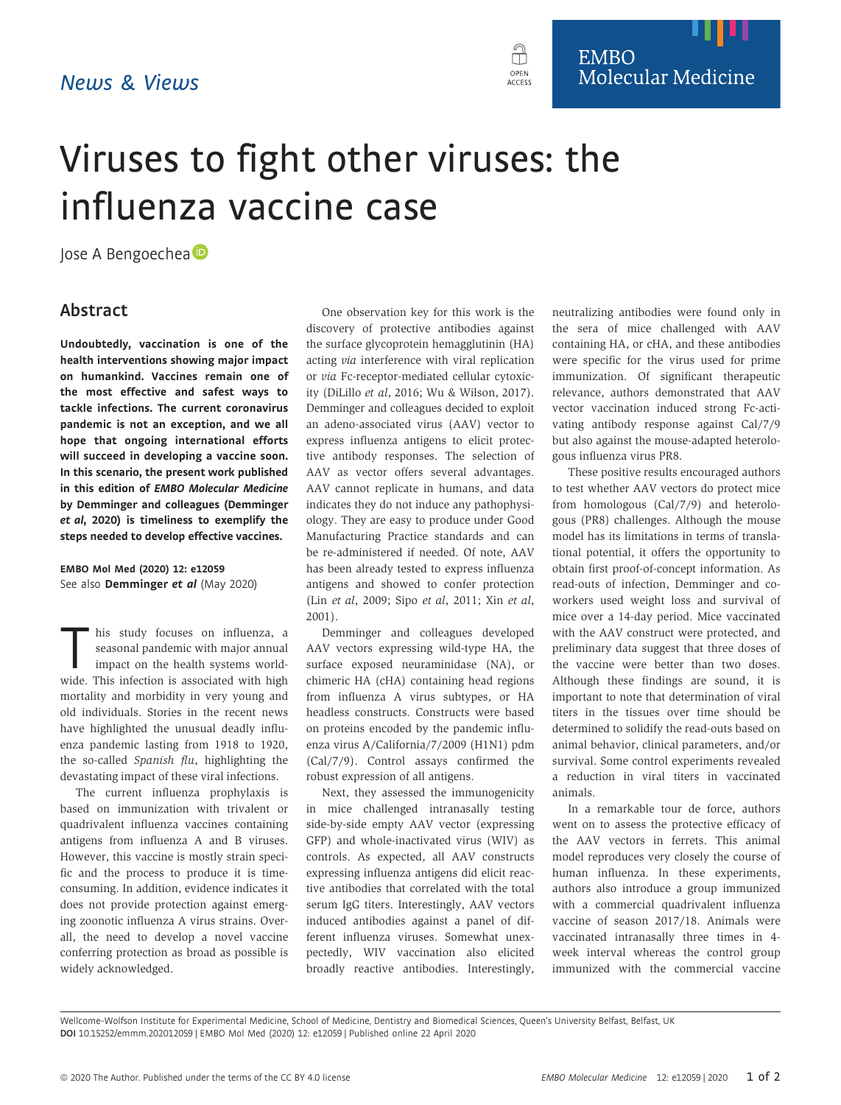## News & Views



# Viruses to fight other viruses: the<br>influenza vaccine case Jose A Bengoechea **D**

### Abstract

Undoubtedly, vaccination is one of the health interventions showing major impact on humankind. Vaccines remain one of the most effective and safest ways to tackle infections. The current coronavirus pandemic is not an exception, and we all hope that ongoing international efforts will succeed in developing a vaccine soon. In this scenario, the present work published in this edition of EMBO Molecular Medicine by Demminger and colleagues (Demminger et al, 2020) is timeliness to exemplify the steps needed to develop effective vaccines.

EMBO Mol Med (2020) 12: e12059 See also **[Demminger](https://doi.org/10.15252/emmm.201910938) e[t al](https://doi.org/10.15252/emmm.201910938)** (May 2020)

his study focuses on influenza, a<br>seasonal pandemic with major annual<br>impact on the health systems world-<br>wide This infection is associated with high seasonal pandemic with major annual wide. This infection is associated with high mortality and morbidity in very young and old individuals. Stories in the recent news have highlighted the unusual deadly influenza pandemic lasting from 1918 to 1920, the so-called Spanish flu, highlighting the devastating impact of these viral infections.

The current influenza prophylaxis is based on immunization with trivalent or quadrivalent influenza vaccines containing antigens from influenza A and B viruses. However, this vaccine is mostly strain specific and the process to produce it is timeconsuming. In addition, evidence indicates it does not provide protection against emerging zoonotic influenza A virus strains. Overall, the need to develop a novel vaccine conferring protection as broad as possible is widely acknowledged.

One observation key for this work is the discovery of protective antibodies against the surface glycoprotein hemagglutinin (HA) acting via interference with viral replication or via Fc-receptor-mediated cellular cytoxicity (DiLillo et al, 2016; Wu & Wilson, 2017). Demminger and colleagues decided to exploit an adeno-associated virus (AAV) vector to express influenza antigens to elicit protective antibody responses. The selection of AAV as vector offers several advantages. AAV cannot replicate in humans, and data indicates they do not induce any pathophysiology. They are easy to produce under Good Manufacturing Practice standards and can be re-administered if needed. Of note, AAV has been already tested to express influenza antigens and showed to confer protection (Lin et al, 2009; Sipo et al, 2011; Xin et al, 2001).

Demminger and colleagues developed AAV vectors expressing wild-type HA, the surface exposed neuraminidase (NA), or chimeric HA (cHA) containing head regions from influenza A virus subtypes, or HA headless constructs. Constructs were based on proteins encoded by the pandemic influenza virus A/California/7/2009 (H1N1) pdm (Cal/7/9). Control assays confirmed the robust expression of all antigens.

Next, they assessed the immunogenicity in mice challenged intranasally testing side-by-side empty AAV vector (expressing GFP) and whole-inactivated virus (WIV) as controls. As expected, all AAV constructs expressing influenza antigens did elicit reactive antibodies that correlated with the total serum IgG titers. Interestingly, AAV vectors induced antibodies against a panel of different influenza viruses. Somewhat unexpectedly, WIV vaccination also elicited broadly reactive antibodies. Interestingly, neutralizing antibodies were found only in the sera of mice challenged with AAV containing HA, or cHA, and these antibodies were specific for the virus used for prime immunization. Of significant therapeutic relevance, authors demonstrated that AAV vector vaccination induced strong Fc-activating antibody response against Cal/7/9 but also against the mouse-adapted heterologous influenza virus PR8.

EMBO<br>Molecular Medicine

These positive results encouraged authors to test whether AAV vectors do protect mice from homologous (Cal/7/9) and heterologous (PR8) challenges. Although the mouse model has its limitations in terms of translational potential, it offers the opportunity to obtain first proof-of-concept information. As read-outs of infection, Demminger and coworkers used weight loss and survival of mice over a 14-day period. Mice vaccinated with the AAV construct were protected, and preliminary data suggest that three doses of the vaccine were better than two doses. Although these findings are sound, it is important to note that determination of viral titers in the tissues over time should be determined to solidify the read-outs based on animal behavior, clinical parameters, and/or survival. Some control experiments revealed a reduction in viral titers in vaccinated animals.

In a remarkable tour de force, authors went on to assess the protective efficacy of the AAV vectors in ferrets. This animal model reproduces very closely the course of human influenza. In these experiments, authors also introduce a group immunized with a commercial quadrivalent influenza vaccine of season 2017/18. Animals were vaccinated intranasally three times in 4 week interval whereas the control group immunized with the commercial vaccine

Wellcome-Wolfson Institute for Experimental Medicine, School of Medicine, Dentistry and Biomedical Sciences, Queen's University Belfast, Belfast, UK DOI 10.15252/emmm.202012059 | EMBO Mol Med (2020) 12: e12059 | Published online 22 April 2020